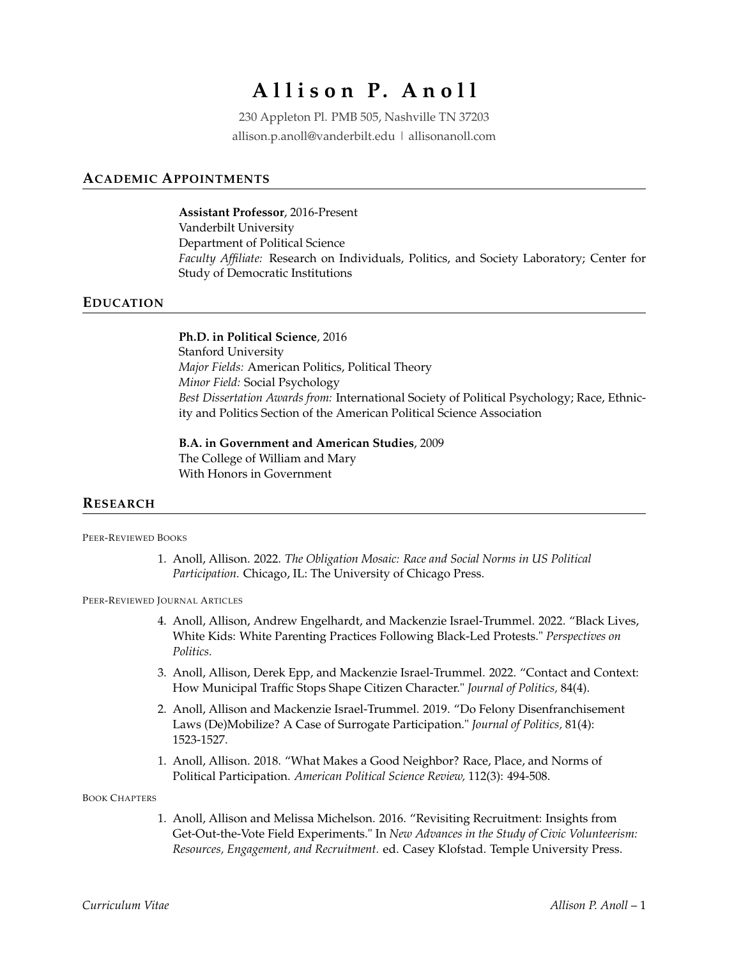# **A l l i s o n P. A n o l l**

230 Appleton Pl. PMB 505, Nashville TN 37203 allison.p.anoll@vanderbilt.edu | allisonanoll.com

## **ACADEMIC APPOINTMENTS**

**Assistant Professor**, 2016-Present Vanderbilt University Department of Political Science *Faculty Affiliate:* Research on Individuals, Politics, and Society Laboratory; Center for Study of Democratic Institutions

### **EDUCATION**

**Ph.D. in Political Science**, 2016 Stanford University *Major Fields:* American Politics, Political Theory *Minor Field:* Social Psychology *Best Dissertation Awards from:* International Society of Political Psychology; Race, Ethnicity and Politics Section of the American Political Science Association

**B.A. in Government and American Studies**, 2009 The College of William and Mary With Honors in Government

#### **RESEARCH**

PEER-REVIEWED BOOKS

1. Anoll, Allison. 2022. *The Obligation Mosaic: Race and Social Norms in US Political Participation.* Chicago, IL: The University of Chicago Press.

PEER-REVIEWED JOURNAL ARTICLES

- 4. Anoll, Allison, Andrew Engelhardt, and Mackenzie Israel-Trummel. 2022. "Black Lives, White Kids: White Parenting Practices Following Black-Led Protests." *Perspectives on Politics.*
- 3. Anoll, Allison, Derek Epp, and Mackenzie Israel-Trummel. 2022. "Contact and Context: How Municipal Traffic Stops Shape Citizen Character." *Journal of Politics,* 84(4).
- 2. Anoll, Allison and Mackenzie Israel-Trummel. 2019. "Do Felony Disenfranchisement Laws (De)Mobilize? A Case of Surrogate Participation." *Journal of Politics,* 81(4): 1523-1527.
- 1. Anoll, Allison. 2018. "What Makes a Good Neighbor? Race, Place, and Norms of Political Participation. *American Political Science Review,* 112(3): 494-508.

BOOK CHAPTERS

1. Anoll, Allison and Melissa Michelson. 2016. "Revisiting Recruitment: Insights from Get-Out-the-Vote Field Experiments." In *New Advances in the Study of Civic Volunteerism: Resources, Engagement, and Recruitment.* ed. Casey Klofstad. Temple University Press.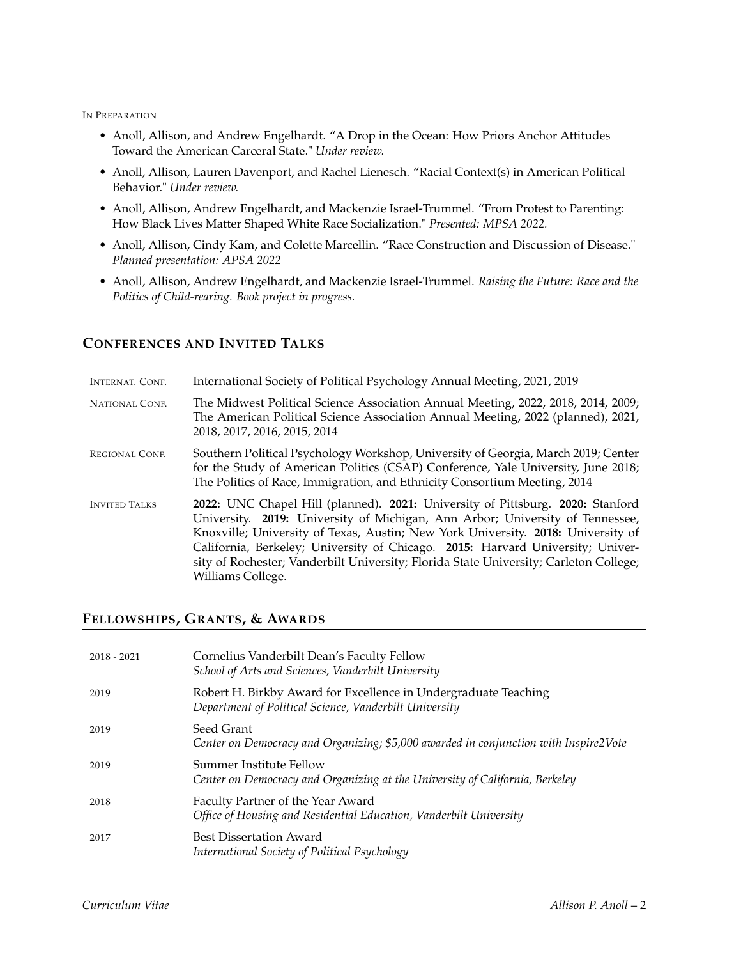IN PREPARATION

- Anoll, Allison, and Andrew Engelhardt. "A Drop in the Ocean: How Priors Anchor Attitudes Toward the American Carceral State." *Under review.*
- Anoll, Allison, Lauren Davenport, and Rachel Lienesch. "Racial Context(s) in American Political Behavior." *Under review.*
- Anoll, Allison, Andrew Engelhardt, and Mackenzie Israel-Trummel. "From Protest to Parenting: How Black Lives Matter Shaped White Race Socialization." *Presented: MPSA 2022.*
- Anoll, Allison, Cindy Kam, and Colette Marcellin. "Race Construction and Discussion of Disease." *Planned presentation: APSA 2022*
- Anoll, Allison, Andrew Engelhardt, and Mackenzie Israel-Trummel. *Raising the Future: Race and the Politics of Child-rearing. Book project in progress.*

# **CONFERENCES AND INVITED TALKS**

| <b>INTERNAT. CONF.</b> | International Society of Political Psychology Annual Meeting, 2021, 2019                                                                                                                                                                                                                                                                                                                                                                            |
|------------------------|-----------------------------------------------------------------------------------------------------------------------------------------------------------------------------------------------------------------------------------------------------------------------------------------------------------------------------------------------------------------------------------------------------------------------------------------------------|
| <b>NATIONAL CONF.</b>  | The Midwest Political Science Association Annual Meeting, 2022, 2018, 2014, 2009;<br>The American Political Science Association Annual Meeting, 2022 (planned), 2021,<br>2018, 2017, 2016, 2015, 2014                                                                                                                                                                                                                                               |
| REGIONAL CONF.         | Southern Political Psychology Workshop, University of Georgia, March 2019; Center<br>for the Study of American Politics (CSAP) Conference, Yale University, June 2018;<br>The Politics of Race, Immigration, and Ethnicity Consortium Meeting, 2014                                                                                                                                                                                                 |
| <b>INVITED TALKS</b>   | 2022: UNC Chapel Hill (planned). 2021: University of Pittsburg. 2020: Stanford<br>University. 2019: University of Michigan, Ann Arbor; University of Tennessee,<br>Knoxville; University of Texas, Austin; New York University. 2018: University of<br>California, Berkeley; University of Chicago. 2015: Harvard University; Univer-<br>sity of Rochester; Vanderbilt University; Florida State University; Carleton College;<br>Williams College. |

## **FELLOWSHIPS, GRANTS, & AWARDS**

| $2018 - 2021$ | Cornelius Vanderbilt Dean's Faculty Fellow<br>School of Arts and Sciences, Vanderbilt University                          |
|---------------|---------------------------------------------------------------------------------------------------------------------------|
| 2019          | Robert H. Birkby Award for Excellence in Undergraduate Teaching<br>Department of Political Science, Vanderbilt University |
| 2019          | Seed Grant<br>Center on Democracy and Organizing; \$5,000 awarded in conjunction with Inspire2Vote                        |
| 2019          | Summer Institute Fellow<br>Center on Democracy and Organizing at the University of California, Berkeley                   |
| 2018          | Faculty Partner of the Year Award<br>Office of Housing and Residential Education, Vanderbilt University                   |
| 2017          | <b>Best Dissertation Award</b><br>International Society of Political Psychology                                           |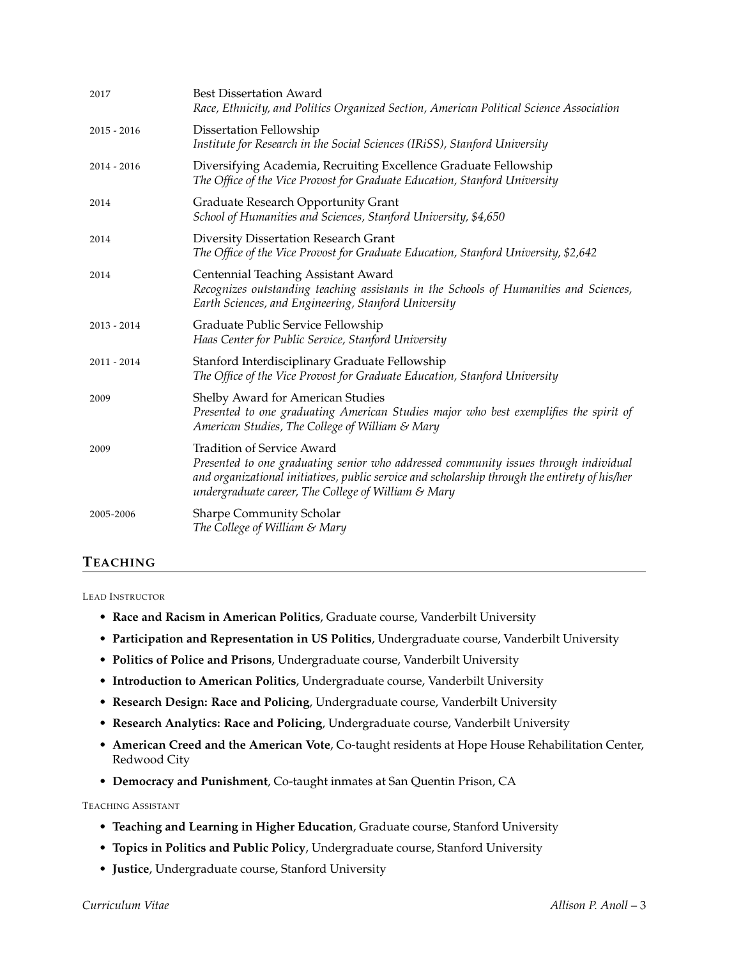| 2017          | <b>Best Dissertation Award</b><br>Race, Ethnicity, and Politics Organized Section, American Political Science Association                                                                                                                                                          |
|---------------|------------------------------------------------------------------------------------------------------------------------------------------------------------------------------------------------------------------------------------------------------------------------------------|
| $2015 - 2016$ | Dissertation Fellowship<br>Institute for Research in the Social Sciences (IRiSS), Stanford University                                                                                                                                                                              |
| $2014 - 2016$ | Diversifying Academia, Recruiting Excellence Graduate Fellowship<br>The Office of the Vice Provost for Graduate Education, Stanford University                                                                                                                                     |
| 2014          | Graduate Research Opportunity Grant<br>School of Humanities and Sciences, Stanford University, \$4,650                                                                                                                                                                             |
| 2014          | Diversity Dissertation Research Grant<br>The Office of the Vice Provost for Graduate Education, Stanford University, \$2,642                                                                                                                                                       |
| 2014          | Centennial Teaching Assistant Award<br>Recognizes outstanding teaching assistants in the Schools of Humanities and Sciences,<br>Earth Sciences, and Engineering, Stanford University                                                                                               |
| $2013 - 2014$ | Graduate Public Service Fellowship<br>Haas Center for Public Service, Stanford University                                                                                                                                                                                          |
| $2011 - 2014$ | Stanford Interdisciplinary Graduate Fellowship<br>The Office of the Vice Provost for Graduate Education, Stanford University                                                                                                                                                       |
| 2009          | Shelby Award for American Studies<br>Presented to one graduating American Studies major who best exemplifies the spirit of<br>American Studies, The College of William & Mary                                                                                                      |
| 2009          | <b>Tradition of Service Award</b><br>Presented to one graduating senior who addressed community issues through individual<br>and organizational initiatives, public service and scholarship through the entirety of his/her<br>undergraduate career, The College of William & Mary |
| 2005-2006     | <b>Sharpe Community Scholar</b><br>The College of William & Mary                                                                                                                                                                                                                   |

# **TEACHING**

LEAD INSTRUCTOR

- **Race and Racism in American Politics**, Graduate course, Vanderbilt University
- **Participation and Representation in US Politics**, Undergraduate course, Vanderbilt University
- **Politics of Police and Prisons**, Undergraduate course, Vanderbilt University
- **Introduction to American Politics**, Undergraduate course, Vanderbilt University
- **Research Design: Race and Policing**, Undergraduate course, Vanderbilt University
- **Research Analytics: Race and Policing**, Undergraduate course, Vanderbilt University
- **American Creed and the American Vote**, Co-taught residents at Hope House Rehabilitation Center, Redwood City
- **Democracy and Punishment**, Co-taught inmates at San Quentin Prison, CA

TEACHING ASSISTANT

- **Teaching and Learning in Higher Education**, Graduate course, Stanford University
- **Topics in Politics and Public Policy**, Undergraduate course, Stanford University
- **Justice**, Undergraduate course, Stanford University